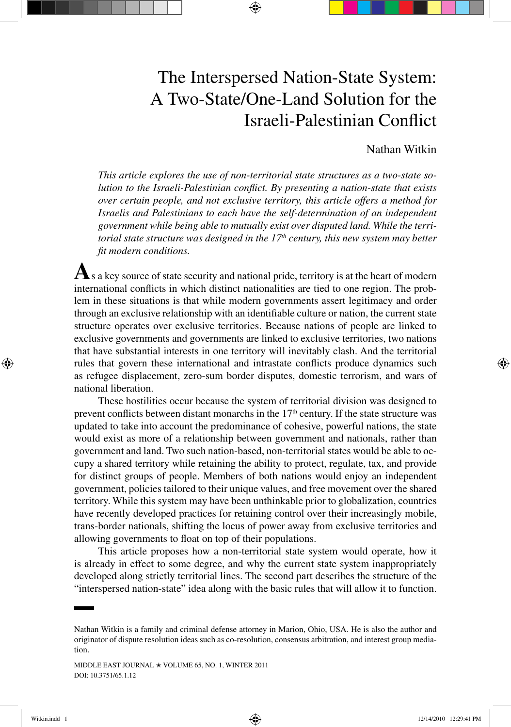# The Interspersed Nation-State System: A Two-State/One-Land Solution for the Israeli-Palestinian Conflict

# Nathan Witkin

*This article explores the use of non-territorial state structures as a two-state solution to the Israeli-Palestinian conflict. By presenting a nation-state that exists over certain people, and not exclusive territory, this article offers a method for Israelis and Palestinians to each have the self-determination of an independent government while being able to mutually exist over disputed land. While the territorial state structure was designed in the 17<sup>th</sup> century, this new system may better fit modern conditions.*

**A**s a key source of state security and national pride, territory is at the heart of modern international conflicts in which distinct nationalities are tied to one region. The problem in these situations is that while modern governments assert legitimacy and order through an exclusive relationship with an identifiable culture or nation, the current state structure operates over exclusive territories. Because nations of people are linked to exclusive governments and governments are linked to exclusive territories, two nations that have substantial interests in one territory will inevitably clash. And the territorial rules that govern these international and intrastate conflicts produce dynamics such as refugee displacement, zero-sum border disputes, domestic terrorism, and wars of national liberation.

These hostilities occur because the system of territorial division was designed to prevent conflicts between distant monarchs in the  $17<sup>th</sup>$  century. If the state structure was updated to take into account the predominance of cohesive, powerful nations, the state would exist as more of a relationship between government and nationals, rather than government and land. Two such nation-based, non-territorial states would be able to occupy a shared territory while retaining the ability to protect, regulate, tax, and provide for distinct groups of people. Members of both nations would enjoy an independent government, policies tailored to their unique values, and free movement over the shared territory. While this system may have been unthinkable prior to globalization, countries have recently developed practices for retaining control over their increasingly mobile, trans-border nationals, shifting the locus of power away from exclusive territories and allowing governments to float on top of their populations.

This article proposes how a non-territorial state system would operate, how it is already in effect to some degree, and why the current state system inappropriately developed along strictly territorial lines. The second part describes the structure of the "interspersed nation-state" idea along with the basic rules that will allow it to function.

⊕

Witkin.indd 1 12/14/2010 12:29:41 PM

Nathan Witkin is a family and criminal defense attorney in Marion, Ohio, USA. He is also the author and originator of dispute resolution ideas such as co-resolution, consensus arbitration, and interest group mediation.

MIDDLE EAST JOURNAL  $\star$  VOLUME 65, NO. 1, WINTER 2011 DOI: 10.3751/65.1.12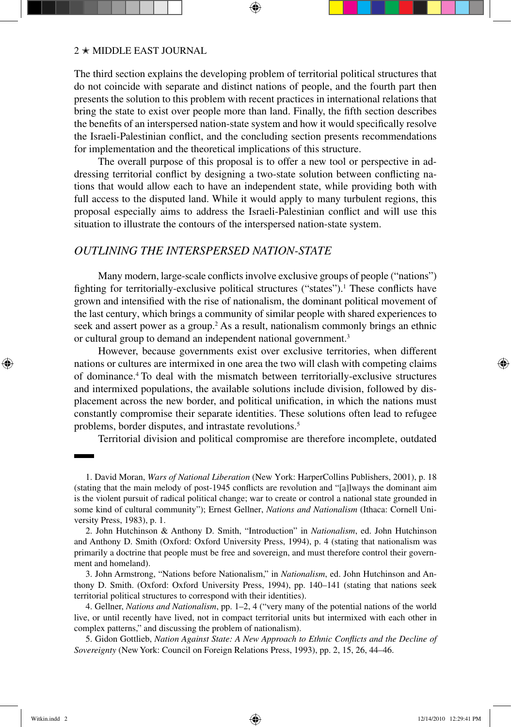#### $2 * MIDDLE EAST JOURNAL$

The third section explains the developing problem of territorial political structures that do not coincide with separate and distinct nations of people, and the fourth part then presents the solution to this problem with recent practices in international relations that bring the state to exist over people more than land. Finally, the fifth section describes the benefits of an interspersed nation-state system and how it would specifically resolve the Israeli-Palestinian conflict, and the concluding section presents recommendations for implementation and the theoretical implications of this structure.

The overall purpose of this proposal is to offer a new tool or perspective in addressing territorial conflict by designing a two-state solution between conflicting nations that would allow each to have an independent state, while providing both with full access to the disputed land. While it would apply to many turbulent regions, this proposal especially aims to address the Israeli-Palestinian conflict and will use this situation to illustrate the contours of the interspersed nation-state system.

# *Outlining the Interspersed Nation-State*

Many modern, large-scale conflicts involve exclusive groups of people ("nations") fighting for territorially-exclusive political structures ("states").<sup>1</sup> These conflicts have grown and intensified with the rise of nationalism, the dominant political movement of the last century, which brings a community of similar people with shared experiences to seek and assert power as a group.<sup>2</sup> As a result, nationalism commonly brings an ethnic or cultural group to demand an independent national government.3

However, because governments exist over exclusive territories, when different nations or cultures are intermixed in one area the two will clash with competing claims of dominance.4 To deal with the mismatch between territorially-exclusive structures and intermixed populations, the available solutions include division, followed by displacement across the new border, and political unification, in which the nations must constantly compromise their separate identities. These solutions often lead to refugee problems, border disputes, and intrastate revolutions.<sup>5</sup>

Territorial division and political compromise are therefore incomplete, outdated

3. John Armstrong, "Nations before Nationalism," in *Nationalism*, ed. John Hutchinson and Anthony D. Smith. (Oxford: Oxford University Press, 1994), pp. 140–141 (stating that nations seek territorial political structures to correspond with their identities).

4. Gellner, *Nations and Nationalism*, pp. 1–2, 4 ("very many of the potential nations of the world live, or until recently have lived, not in compact territorial units but intermixed with each other in complex patterns," and discussing the problem of nationalism).

5. Gidon Gottlieb, *Nation Against State: A New Approach to Ethnic Conflicts and the Decline of Sovereignty* (New York: Council on Foreign Relations Press, 1993), pp. 2, 15, 26, 44–46.

↔

<sup>1.</sup> David Moran, *Wars of National Liberation* (New York: HarperCollins Publishers, 2001), p. 18 (stating that the main melody of post-1945 conflicts are revolution and "[a]lways the dominant aim is the violent pursuit of radical political change; war to create or control a national state grounded in some kind of cultural community"); Ernest Gellner, *Nations and Nationalism* (Ithaca: Cornell University Press, 1983), p. 1.

<sup>2.</sup> John Hutchinson & Anthony D. Smith, "Introduction" in *Nationalism*, ed. John Hutchinson and Anthony D. Smith (Oxford: Oxford University Press, 1994), p. 4 (stating that nationalism was primarily a doctrine that people must be free and sovereign, and must therefore control their government and homeland).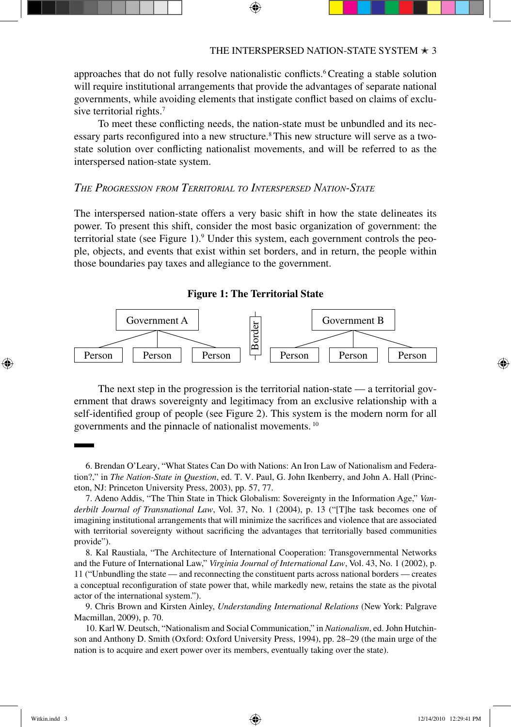approaches that do not fully resolve nationalistic conflicts.6 Creating a stable solution will require institutional arrangements that provide the advantages of separate national governments, while avoiding elements that instigate conflict based on claims of exclusive territorial rights.<sup>7</sup>

To meet these conflicting needs, the nation-state must be unbundled and its necessary parts reconfigured into a new structure.8 This new structure will serve as a twostate solution over conflicting nationalist movements, and will be referred to as the interspersed nation-state system.

# *The Progression from Territorial to Interspersed Nation-State*

The interspersed nation-state offers a very basic shift in how the state delineates its power. To present this shift, consider the most basic organization of government: the territorial state (see Figure 1).<sup>9</sup> Under this system, each government controls the people, objects, and events that exist within set borders, and in return, the people within those boundaries pay taxes and allegiance to the government.





The next step in the progression is the territorial nation-state — a territorial government that draws sovereignty and legitimacy from an exclusive relationship with a self-identified group of people (see Figure 2). This system is the modern norm for all governments and the pinnacle of nationalist movements. <sup>10</sup>

⊕

<sup>6.</sup> Brendan O'Leary, "What States Can Do with Nations: An Iron Law of Nationalism and Federation?," in *The Nation-State in Question*, ed. T. V. Paul, G. John Ikenberry, and John A. Hall (Princeton, NJ: Princeton University Press, 2003), pp. 57, 77.

<sup>7.</sup> Adeno Addis, "The Thin State in Thick Globalism: Sovereignty in the Information Age," *Vanderbilt Journal of Transnational Law*, Vol. 37, No. 1 (2004), p. 13 ("[T]he task becomes one of imagining institutional arrangements that will minimize the sacrifices and violence that are associated with territorial sovereignty without sacrificing the advantages that territorially based communities provide").

<sup>8.</sup> Kal Raustiala, "The Architecture of International Cooperation: Transgovernmental Networks and the Future of International Law," *Virginia Journal of International Law*, Vol. 43, No. 1 (2002), p. 11 ("Unbundling the state — and reconnecting the constituent parts across national borders — creates a conceptual reconfiguration of state power that, while markedly new, retains the state as the pivotal actor of the international system.").

<sup>9.</sup> Chris Brown and Kirsten Ainley, *Understanding International Relations* (New York: Palgrave Macmillan, 2009), p. 70.

<sup>10.</sup> Karl W. Deutsch, "Nationalism and Social Communication," in *Nationalism*, ed. John Hutchinson and Anthony D. Smith (Oxford: Oxford University Press, 1994), pp. 28–29 (the main urge of the nation is to acquire and exert power over its members, eventually taking over the state).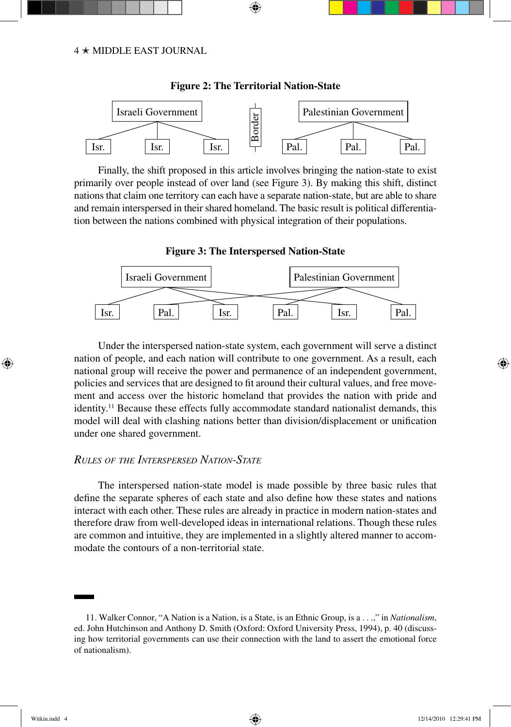

**Figure 2: The Territorial Nation-State**

⊕

Finally, the shift proposed in this article involves bringing the nation-state to exist primarily over people instead of over land (see Figure 3). By making this shift, distinct nations that claim one territory can each have a separate nation-state, but are able to share and remain interspersed in their shared homeland. The basic result is political differentiation between the nations combined with physical integration of their populations.





Under the interspersed nation-state system, each government will serve a distinct nation of people, and each nation will contribute to one government. As a result, each national group will receive the power and permanence of an independent government, policies and services that are designed to fit around their cultural values, and free movement and access over the historic homeland that provides the nation with pride and identity.<sup>11</sup> Because these effects fully accommodate standard nationalist demands, this model will deal with clashing nations better than division/displacement or unification under one shared government.

# *Rules of the Interspersed Nation-State*

The interspersed nation-state model is made possible by three basic rules that define the separate spheres of each state and also define how these states and nations interact with each other. These rules are already in practice in modern nation-states and therefore draw from well-developed ideas in international relations. Though these rules are common and intuitive, they are implemented in a slightly altered manner to accommodate the contours of a non-territorial state.

⊕

↔

<sup>11.</sup> Walker Connor, "A Nation is a Nation, is a State, is an Ethnic Group, is a . . .," in *Nationalism*, ed. John Hutchinson and Anthony D. Smith (Oxford: Oxford University Press, 1994), p. 40 (discussing how territorial governments can use their connection with the land to assert the emotional force of nationalism).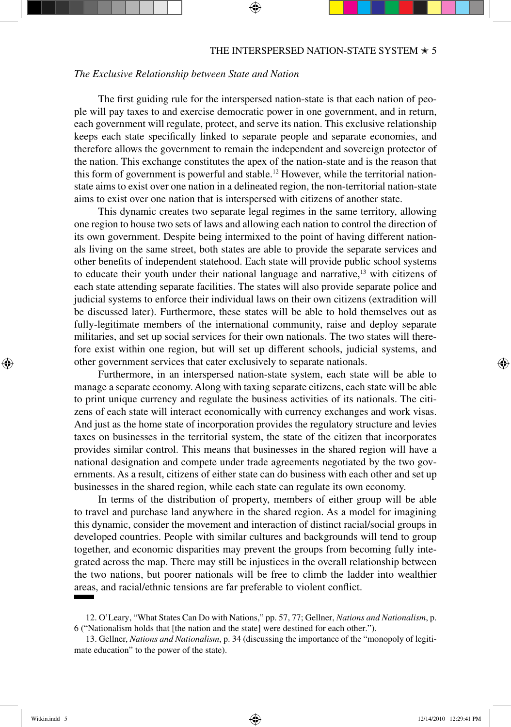## *The Exclusive Relationship between State and Nation*

The first guiding rule for the interspersed nation-state is that each nation of people will pay taxes to and exercise democratic power in one government, and in return, each government will regulate, protect, and serve its nation. This exclusive relationship keeps each state specifically linked to separate people and separate economies, and therefore allows the government to remain the independent and sovereign protector of the nation. This exchange constitutes the apex of the nation-state and is the reason that this form of government is powerful and stable.<sup>12</sup> However, while the territorial nationstate aims to exist over one nation in a delineated region, the non-territorial nation-state aims to exist over one nation that is interspersed with citizens of another state.

This dynamic creates two separate legal regimes in the same territory, allowing one region to house two sets of laws and allowing each nation to control the direction of its own government. Despite being intermixed to the point of having different nationals living on the same street, both states are able to provide the separate services and other benefits of independent statehood. Each state will provide public school systems to educate their youth under their national language and narrative, $13$  with citizens of each state attending separate facilities. The states will also provide separate police and judicial systems to enforce their individual laws on their own citizens (extradition will be discussed later). Furthermore, these states will be able to hold themselves out as fully-legitimate members of the international community, raise and deploy separate militaries, and set up social services for their own nationals. The two states will therefore exist within one region, but will set up different schools, judicial systems, and other government services that cater exclusively to separate nationals.

Furthermore, in an interspersed nation-state system, each state will be able to manage a separate economy. Along with taxing separate citizens, each state will be able to print unique currency and regulate the business activities of its nationals. The citizens of each state will interact economically with currency exchanges and work visas. And just as the home state of incorporation provides the regulatory structure and levies taxes on businesses in the territorial system, the state of the citizen that incorporates provides similar control. This means that businesses in the shared region will have a national designation and compete under trade agreements negotiated by the two governments. As a result, citizens of either state can do business with each other and set up businesses in the shared region, while each state can regulate its own economy.

In terms of the distribution of property, members of either group will be able to travel and purchase land anywhere in the shared region. As a model for imagining this dynamic, consider the movement and interaction of distinct racial/social groups in developed countries. People with similar cultures and backgrounds will tend to group together, and economic disparities may prevent the groups from becoming fully integrated across the map. There may still be injustices in the overall relationship between the two nations, but poorer nationals will be free to climb the ladder into wealthier areas, and racial/ethnic tensions are far preferable to violent conflict.

↔

<sup>12.</sup> O'Leary, "What States Can Do with Nations," pp. 57, 77; Gellner, *Nations and Nationalism*, p. 6 ("Nationalism holds that [the nation and the state] were destined for each other.").

<sup>13.</sup> Gellner, *Nations and Nationalism*, p. 34 (discussing the importance of the "monopoly of legitimate education" to the power of the state).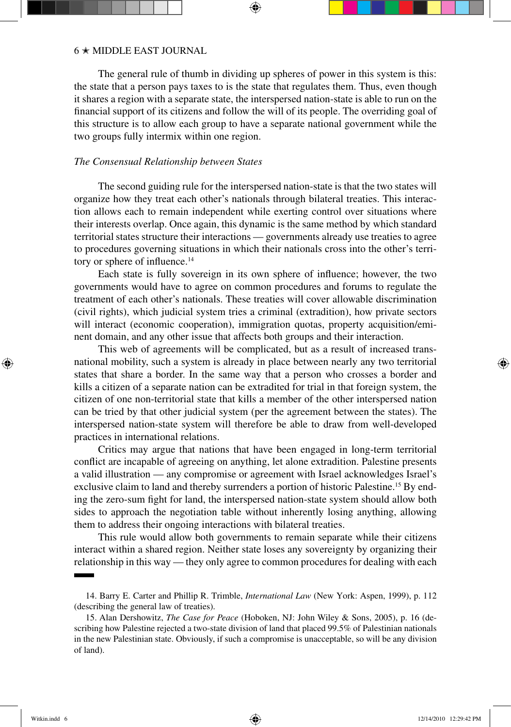The general rule of thumb in dividing up spheres of power in this system is this: the state that a person pays taxes to is the state that regulates them. Thus, even though it shares a region with a separate state, the interspersed nation-state is able to run on the financial support of its citizens and follow the will of its people. The overriding goal of this structure is to allow each group to have a separate national government while the two groups fully intermix within one region.

## *The Consensual Relationship between States*

The second guiding rule for the interspersed nation-state is that the two states will organize how they treat each other's nationals through bilateral treaties. This interaction allows each to remain independent while exerting control over situations where their interests overlap. Once again, this dynamic is the same method by which standard territorial states structure their interactions — governments already use treaties to agree to procedures governing situations in which their nationals cross into the other's territory or sphere of influence.<sup>14</sup>

Each state is fully sovereign in its own sphere of influence; however, the two governments would have to agree on common procedures and forums to regulate the treatment of each other's nationals. These treaties will cover allowable discrimination (civil rights), which judicial system tries a criminal (extradition), how private sectors will interact (economic cooperation), immigration quotas, property acquisition/eminent domain, and any other issue that affects both groups and their interaction.

This web of agreements will be complicated, but as a result of increased transnational mobility, such a system is already in place between nearly any two territorial states that share a border. In the same way that a person who crosses a border and kills a citizen of a separate nation can be extradited for trial in that foreign system, the citizen of one non-territorial state that kills a member of the other interspersed nation can be tried by that other judicial system (per the agreement between the states). The interspersed nation-state system will therefore be able to draw from well-developed practices in international relations.

Critics may argue that nations that have been engaged in long-term territorial conflict are incapable of agreeing on anything, let alone extradition. Palestine presents a valid illustration — any compromise or agreement with Israel acknowledges Israel's exclusive claim to land and thereby surrenders a portion of historic Palestine.15 By ending the zero-sum fight for land, the interspersed nation-state system should allow both sides to approach the negotiation table without inherently losing anything, allowing them to address their ongoing interactions with bilateral treaties.

This rule would allow both governments to remain separate while their citizens interact within a shared region. Neither state loses any sovereignty by organizing their relationship in this way — they only agree to common procedures for dealing with each

↔

<sup>14.</sup> Barry E. Carter and Phillip R. Trimble, *International Law* (New York: Aspen, 1999), p. 112 (describing the general law of treaties).

<sup>15.</sup> Alan Dershowitz, *The Case for Peace* (Hoboken, NJ: John Wiley & Sons, 2005), p. 16 (describing how Palestine rejected a two-state division of land that placed 99.5% of Palestinian nationals in the new Palestinian state. Obviously, if such a compromise is unacceptable, so will be any division of land).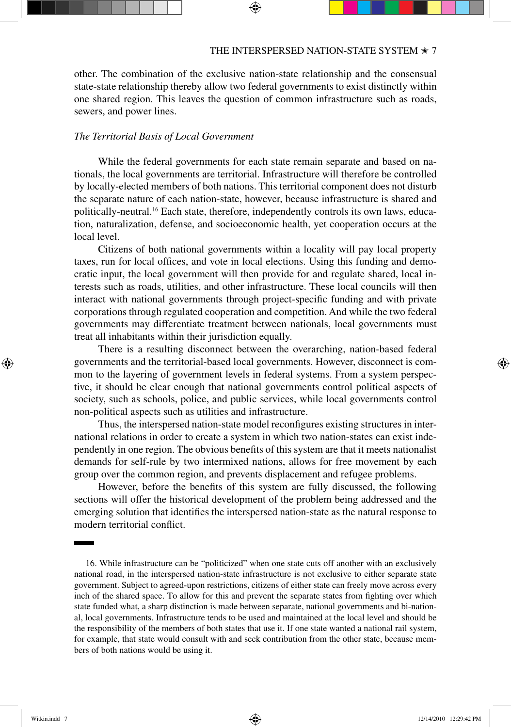other. The combination of the exclusive nation-state relationship and the consensual state-state relationship thereby allow two federal governments to exist distinctly within one shared region. This leaves the question of common infrastructure such as roads, sewers, and power lines.

# *The Territorial Basis of Local Government*

While the federal governments for each state remain separate and based on nationals, the local governments are territorial. Infrastructure will therefore be controlled by locally-elected members of both nations. This territorial component does not disturb the separate nature of each nation-state, however, because infrastructure is shared and politically-neutral.16 Each state, therefore, independently controls its own laws, education, naturalization, defense, and socioeconomic health, yet cooperation occurs at the local level.

Citizens of both national governments within a locality will pay local property taxes, run for local offices, and vote in local elections. Using this funding and democratic input, the local government will then provide for and regulate shared, local interests such as roads, utilities, and other infrastructure. These local councils will then interact with national governments through project-specific funding and with private corporations through regulated cooperation and competition. And while the two federal governments may differentiate treatment between nationals, local governments must treat all inhabitants within their jurisdiction equally.

There is a resulting disconnect between the overarching, nation-based federal governments and the territorial-based local governments. However, disconnect is common to the layering of government levels in federal systems. From a system perspective, it should be clear enough that national governments control political aspects of society, such as schools, police, and public services, while local governments control non-political aspects such as utilities and infrastructure.

Thus, the interspersed nation-state model reconfigures existing structures in international relations in order to create a system in which two nation-states can exist independently in one region. The obvious benefits of this system are that it meets nationalist demands for self-rule by two intermixed nations, allows for free movement by each group over the common region, and prevents displacement and refugee problems.

However, before the benefits of this system are fully discussed, the following sections will offer the historical development of the problem being addressed and the emerging solution that identifies the interspersed nation-state as the natural response to modern territorial conflict.

↔

<sup>16.</sup> While infrastructure can be "politicized" when one state cuts off another with an exclusively national road, in the interspersed nation-state infrastructure is not exclusive to either separate state government. Subject to agreed-upon restrictions, citizens of either state can freely move across every inch of the shared space. To allow for this and prevent the separate states from fighting over which state funded what, a sharp distinction is made between separate, national governments and bi-national, local governments. Infrastructure tends to be used and maintained at the local level and should be the responsibility of the members of both states that use it. If one state wanted a national rail system, for example, that state would consult with and seek contribution from the other state, because members of both nations would be using it.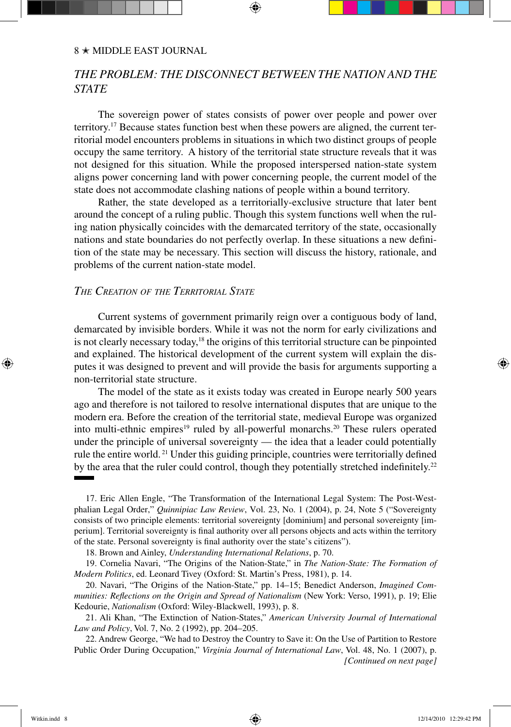### $8 *$  MIDDLE EAST JOURNAL

# *The Problem: The Disconnect between the Nation and the State*

The sovereign power of states consists of power over people and power over territory.17 Because states function best when these powers are aligned, the current territorial model encounters problems in situations in which two distinct groups of people occupy the same territory. A history of the territorial state structure reveals that it was not designed for this situation. While the proposed interspersed nation-state system aligns power concerning land with power concerning people, the current model of the state does not accommodate clashing nations of people within a bound territory.

Rather, the state developed as a territorially-exclusive structure that later bent around the concept of a ruling public. Though this system functions well when the ruling nation physically coincides with the demarcated territory of the state, occasionally nations and state boundaries do not perfectly overlap. In these situations a new definition of the state may be necessary. This section will discuss the history, rationale, and problems of the current nation-state model.

## *The Creation of the Territorial State*

Current systems of government primarily reign over a contiguous body of land, demarcated by invisible borders. While it was not the norm for early civilizations and is not clearly necessary today, $18$  the origins of this territorial structure can be pinpointed and explained. The historical development of the current system will explain the disputes it was designed to prevent and will provide the basis for arguments supporting a non-territorial state structure.

The model of the state as it exists today was created in Europe nearly 500 years ago and therefore is not tailored to resolve international disputes that are unique to the modern era. Before the creation of the territorial state, medieval Europe was organized into multi-ethnic empires<sup>19</sup> ruled by all-powerful monarchs.<sup>20</sup> These rulers operated under the principle of universal sovereignty — the idea that a leader could potentially rule the entire world. 21 Under this guiding principle, countries were territorially defined by the area that the ruler could control, though they potentially stretched indefinitely.<sup>22</sup>

17. Eric Allen Engle, "The Transformation of the International Legal System: The Post-Westphalian Legal Order," *Quinnipiac Law Review*, Vol. 23, No. 1 (2004), p. 24, Note 5 ("Sovereignty consists of two principle elements: territorial sovereignty [dominium] and personal sovereignty [imperium]. Territorial sovereignty is final authority over all persons objects and acts within the territory of the state. Personal sovereignty is final authority over the state's citizens").

18. Brown and Ainley, *Understanding International Relations*, p. 70.

19. Cornelia Navari, "The Origins of the Nation-State," in *The Nation-State: The Formation of Modern Politics*, ed. Leonard Tivey (Oxford: St. Martin's Press, 1981), p. 14.

20. Navari, "The Origins of the Nation-State," pp. 14–15; Benedict Anderson, *Imagined Communities: Reflections on the Origin and Spread of Nationalism* (New York: Verso, 1991), p. 19; Elie Kedourie, *Nationalism* (Oxford: Wiley-Blackwell, 1993), p. 8.

21. Ali Khan, "The Extinction of Nation-States," *American University Journal of International Law and Policy*, Vol. 7, No. 2 (1992), pp. 204–205.

22. Andrew George, "We had to Destroy the Country to Save it: On the Use of Partition to Restore Public Order During Occupation," *Virginia Journal of International Law*, Vol. 48, No. 1 (2007), p. *[Continued on next page]*

↔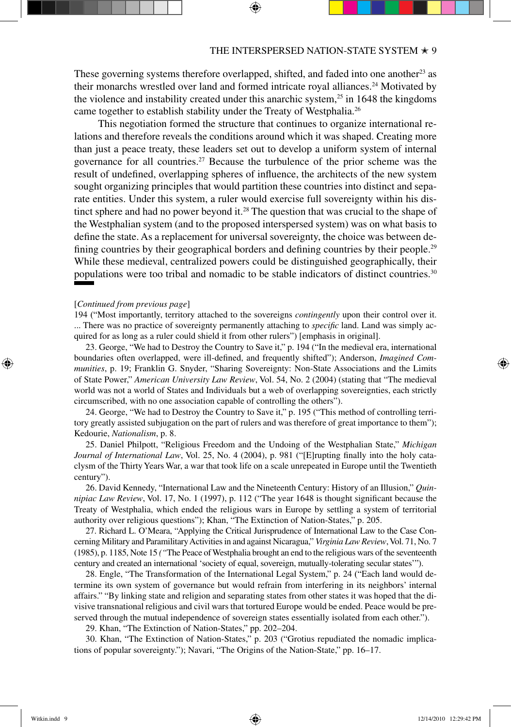These governing systems therefore overlapped, shifted, and faded into one another<sup>23</sup> as their monarchs wrestled over land and formed intricate royal alliances.<sup>24</sup> Motivated by the violence and instability created under this anarchic system,<sup>25</sup> in 1648 the kingdoms came together to establish stability under the Treaty of Westphalia.26

This negotiation formed the structure that continues to organize international relations and therefore reveals the conditions around which it was shaped. Creating more than just a peace treaty, these leaders set out to develop a uniform system of internal governance for all countries.<sup>27</sup> Because the turbulence of the prior scheme was the result of undefined, overlapping spheres of influence, the architects of the new system sought organizing principles that would partition these countries into distinct and separate entities. Under this system, a ruler would exercise full sovereignty within his distinct sphere and had no power beyond it.<sup>28</sup> The question that was crucial to the shape of the Westphalian system (and to the proposed interspersed system) was on what basis to define the state. As a replacement for universal sovereignty, the choice was between defining countries by their geographical borders and defining countries by their people.<sup>29</sup> While these medieval, centralized powers could be distinguished geographically, their populations were too tribal and nomadic to be stable indicators of distinct countries.30

#### [*Continued from previous page*]

194 ("Most importantly, territory attached to the sovereigns *contingently* upon their control over it. ... There was no practice of sovereignty permanently attaching to *specific* land. Land was simply acquired for as long as a ruler could shield it from other rulers") [emphasis in original].

23. George, "We had to Destroy the Country to Save it," p. 194 ("In the medieval era, international boundaries often overlapped, were ill-defined, and frequently shifted"); Anderson, *Imagined Communities*, p. 19; Franklin G. Snyder, "Sharing Sovereignty: Non-State Associations and the Limits of State Power," *American University Law Review*, Vol. 54, No. 2 (2004) (stating that "The medieval world was not a world of States and Individuals but a web of overlapping sovereignties, each strictly circumscribed, with no one association capable of controlling the others").

24. George, "We had to Destroy the Country to Save it," p. 195 ("This method of controlling territory greatly assisted subjugation on the part of rulers and was therefore of great importance to them"); Kedourie, *Nationalism*, p. 8.

25. Daniel Philpott, "Religious Freedom and the Undoing of the Westphalian State," *Michigan Journal of International Law*, Vol. 25, No. 4 (2004), p. 981 ("[E]rupting finally into the holy cataclysm of the Thirty Years War, a war that took life on a scale unrepeated in Europe until the Twentieth century").

26. David Kennedy, "International Law and the Nineteenth Century: History of an Illusion," *Quinnipiac Law Review*, Vol. 17, No. 1 (1997), p. 112 ("The year 1648 is thought significant because the Treaty of Westphalia, which ended the religious wars in Europe by settling a system of territorial authority over religious questions"); Khan, "The Extinction of Nation-States," p. 205.

27. Richard L. O'Meara, "Applying the Critical Jurisprudence of International Law to the Case Concerning Military and Paramilitary Activities in and against Nicaragua," *Virginia Law Review*, Vol. 71, No. 7 (1985), p. 1185, Note 15 *("*The Peace of Westphalia brought an end to the religious wars of the seventeenth century and created an international 'society of equal, sovereign, mutually-tolerating secular states'").

28. Engle, "The Transformation of the International Legal System," p. 24 ("Each land would determine its own system of governance but would refrain from interfering in its neighbors' internal affairs." "By linking state and religion and separating states from other states it was hoped that the divisive transnational religious and civil wars that tortured Europe would be ended. Peace would be preserved through the mutual independence of sovereign states essentially isolated from each other.").

29. Khan, "The Extinction of Nation-States," pp. 202–204.

30. Khan, "The Extinction of Nation-States," p. 203 ("Grotius repudiated the nomadic implications of popular sovereignty."); Navari, "The Origins of the Nation-State," pp. 16–17.

↔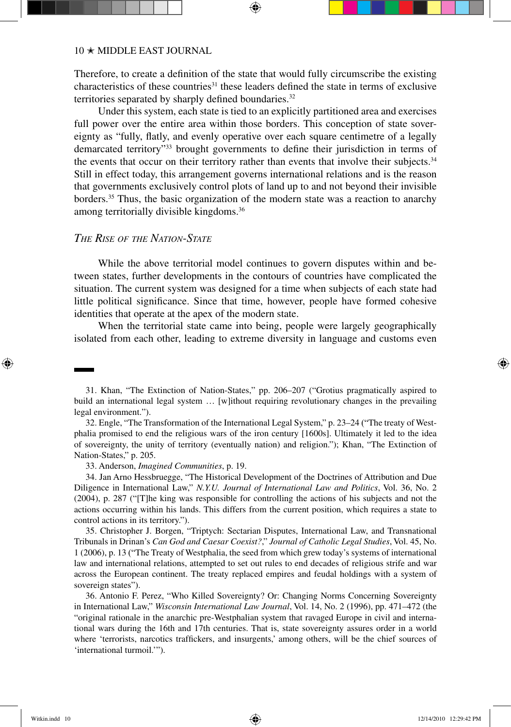Therefore, to create a definition of the state that would fully circumscribe the existing characteristics of these countries<sup>31</sup> these leaders defined the state in terms of exclusive territories separated by sharply defined boundaries.<sup>32</sup>

Under this system, each state is tied to an explicitly partitioned area and exercises full power over the entire area within those borders. This conception of state sovereignty as "fully, flatly, and evenly operative over each square centimetre of a legally demarcated territory"33 brought governments to define their jurisdiction in terms of the events that occur on their territory rather than events that involve their subjects.<sup>34</sup> Still in effect today, this arrangement governs international relations and is the reason that governments exclusively control plots of land up to and not beyond their invisible borders.<sup>35</sup> Thus, the basic organization of the modern state was a reaction to anarchy among territorially divisible kingdoms.36

# *The Rise of the Nation-State*

While the above territorial model continues to govern disputes within and between states, further developments in the contours of countries have complicated the situation. The current system was designed for a time when subjects of each state had little political significance. Since that time, however, people have formed cohesive identities that operate at the apex of the modern state.

When the territorial state came into being, people were largely geographically isolated from each other, leading to extreme diversity in language and customs even

32. Engle, "The Transformation of the International Legal System," p. 23–24 ("The treaty of Westphalia promised to end the religious wars of the iron century [1600s]. Ultimately it led to the idea of sovereignty, the unity of territory (eventually nation) and religion."); Khan, "The Extinction of Nation-States," p. 205.

33. Anderson, *Imagined Communities*, p. 19.

34. Jan Arno Hessbruegge, "The Historical Development of the Doctrines of Attribution and Due Diligence in International Law," *N.Y.U. Journal of International Law and Politics*, Vol. 36, No. 2 (2004), p. 287 ("[T]he king was responsible for controlling the actions of his subjects and not the actions occurring within his lands. This differs from the current position, which requires a state to control actions in its territory.").

35. Christopher J. Borgen, "Triptych: Sectarian Disputes, International Law, and Transnational Tribunals in Drinan's *Can God and Caesar Coexist?*," *Journal of Catholic Legal Studies*, Vol. 45, No. 1 (2006), p. 13 ("The Treaty of Westphalia, the seed from which grew today's systems of international law and international relations, attempted to set out rules to end decades of religious strife and war across the European continent. The treaty replaced empires and feudal holdings with a system of sovereign states").

36. Antonio F. Perez, "Who Killed Sovereignty? Or: Changing Norms Concerning Sovereignty in International Law," *Wisconsin International Law Journal*, Vol. 14, No. 2 (1996), pp. 471–472 (the "original rationale in the anarchic pre-Westphalian system that ravaged Europe in civil and international wars during the 16th and 17th centuries. That is, state sovereignty assures order in a world where 'terrorists, narcotics traffickers, and insurgents,' among others, will be the chief sources of 'international turmoil.'").

↔

<sup>31.</sup> Khan, "The Extinction of Nation-States," pp. 206–207 ("Grotius pragmatically aspired to build an international legal system … [w]ithout requiring revolutionary changes in the prevailing legal environment.").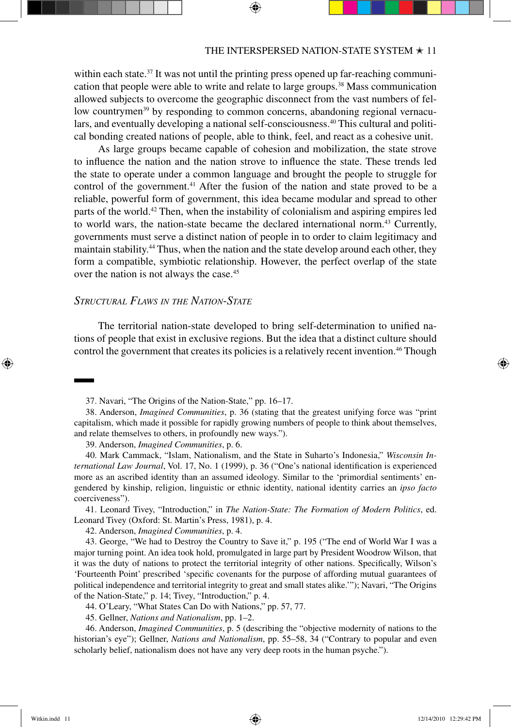within each state.<sup>37</sup> It was not until the printing press opened up far-reaching communication that people were able to write and relate to large groups.38 Mass communication allowed subjects to overcome the geographic disconnect from the vast numbers of fellow countrymen<sup>39</sup> by responding to common concerns, abandoning regional vernaculars, and eventually developing a national self-consciousness.<sup>40</sup> This cultural and political bonding created nations of people, able to think, feel, and react as a cohesive unit.

As large groups became capable of cohesion and mobilization, the state strove to influence the nation and the nation strove to influence the state. These trends led the state to operate under a common language and brought the people to struggle for control of the government.41 After the fusion of the nation and state proved to be a reliable, powerful form of government, this idea became modular and spread to other parts of the world.42 Then, when the instability of colonialism and aspiring empires led to world wars, the nation-state became the declared international norm.43 Currently, governments must serve a distinct nation of people in to order to claim legitimacy and maintain stability.44 Thus, when the nation and the state develop around each other, they form a compatible, symbiotic relationship. However, the perfect overlap of the state over the nation is not always the case.<sup>45</sup>

# *Structural Flaws in the Nation-State*

The territorial nation-state developed to bring self-determination to unified nations of people that exist in exclusive regions. But the idea that a distinct culture should control the government that creates its policies is a relatively recent invention.46 Though

39. Anderson, *Imagined Communities*, p. 6.

40. Mark Cammack, "Islam, Nationalism, and the State in Suharto's Indonesia," *Wisconsin International Law Journal*, Vol. 17, No. 1 (1999), p. 36 ("One's national identification is experienced more as an ascribed identity than an assumed ideology. Similar to the 'primordial sentiments' engendered by kinship, religion, linguistic or ethnic identity, national identity carries an *ipso facto* coerciveness").

41. Leonard Tivey, "Introduction," in *The Nation-State: The Formation of Modern Politics*, ed. Leonard Tivey (Oxford: St. Martin's Press, 1981), p. 4.

42. Anderson, *Imagined Communities*, p. 4.

43. George, "We had to Destroy the Country to Save it," p. 195 ("The end of World War I was a major turning point. An idea took hold, promulgated in large part by President Woodrow Wilson, that it was the duty of nations to protect the territorial integrity of other nations. Specifically, Wilson's 'Fourteenth Point' prescribed 'specific covenants for the purpose of affording mutual guarantees of political independence and territorial integrity to great and small states alike.'"); Navari, "The Origins of the Nation-State," p. 14; Tivey, "Introduction," p. 4.

44. O'Leary, "What States Can Do with Nations," pp. 57, 77.

45. Gellner, *Nations and Nationalism*, pp. 1–2.

46. Anderson, *Imagined Communities*, p. 5 (describing the "objective modernity of nations to the historian's eye"); Gellner, *Nations and Nationalism*, pp. 55–58, 34 ("Contrary to popular and even scholarly belief, nationalism does not have any very deep roots in the human psyche.").

↔

<sup>37.</sup> Navari, "The Origins of the Nation-State," pp. 16–17.

<sup>38.</sup> Anderson, *Imagined Communities*, p. 36 (stating that the greatest unifying force was "print capitalism, which made it possible for rapidly growing numbers of people to think about themselves, and relate themselves to others, in profoundly new ways.").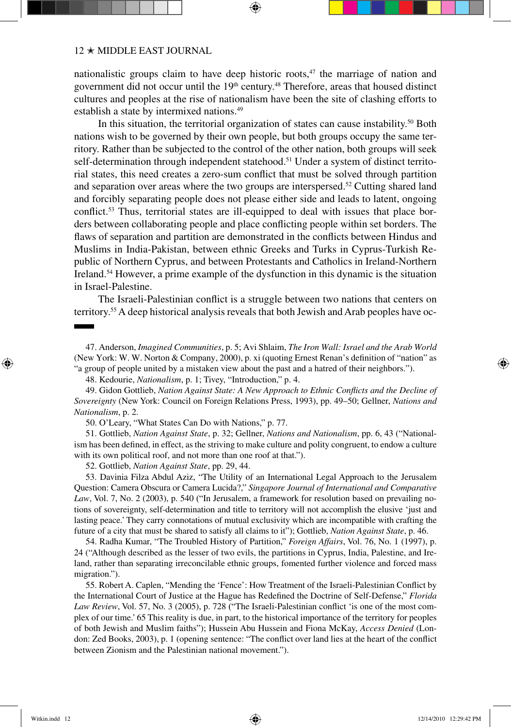nationalistic groups claim to have deep historic roots, $47$  the marriage of nation and government did not occur until the 19<sup>th</sup> century.<sup>48</sup> Therefore, areas that housed distinct cultures and peoples at the rise of nationalism have been the site of clashing efforts to establish a state by intermixed nations.49

In this situation, the territorial organization of states can cause instability.<sup>50</sup> Both nations wish to be governed by their own people, but both groups occupy the same territory. Rather than be subjected to the control of the other nation, both groups will seek self-determination through independent statehood.<sup>51</sup> Under a system of distinct territorial states, this need creates a zero-sum conflict that must be solved through partition and separation over areas where the two groups are interspersed.52 Cutting shared land and forcibly separating people does not please either side and leads to latent, ongoing conflict.53 Thus, territorial states are ill-equipped to deal with issues that place borders between collaborating people and place conflicting people within set borders. The flaws of separation and partition are demonstrated in the conflicts between Hindus and Muslims in India-Pakistan, between ethnic Greeks and Turks in Cyprus-Turkish Republic of Northern Cyprus, and between Protestants and Catholics in Ireland-Northern Ireland.54 However, a prime example of the dysfunction in this dynamic is the situation in Israel-Palestine.

The Israeli-Palestinian conflict is a struggle between two nations that centers on territory.55 A deep historical analysis reveals that both Jewish and Arab peoples have oc-

48. Kedourie, *Nationalism*, p. 1; Tivey, "Introduction," p. 4.

49. Gidon Gottlieb, *Nation Against State: A New Approach to Ethnic Conflicts and the Decline of Sovereignty* (New York: Council on Foreign Relations Press, 1993), pp. 49–50; Gellner, *Nations and Nationalism*, p. 2.

50. O'Leary, "What States Can Do with Nations," p. 77.

51. Gottlieb, *Nation Against State*, p. 32; Gellner, *Nations and Nationalism*, pp. 6, 43 ("Nationalism has been defined, in effect, as the striving to make culture and polity congruent, to endow a culture with its own political roof, and not more than one roof at that.").

52. Gottlieb, *Nation Against State*, pp. 29, 44.

53. Davinia Filza Abdul Aziz, "The Utility of an International Legal Approach to the Jerusalem Question: Camera Obscura or Camera Lucida?," *Singapore Journal of International and Comparative Law*, Vol. 7, No. 2 (2003), p. 540 ("In Jerusalem, a framework for resolution based on prevailing notions of sovereignty, self-determination and title to territory will not accomplish the elusive 'just and lasting peace.' They carry connotations of mutual exclusivity which are incompatible with crafting the future of a city that must be shared to satisfy all claims to it"); Gottlieb, *Nation Against State*, p. 46.

54. Radha Kumar, "The Troubled History of Partition," *Foreign Affairs*, Vol. 76, No. 1 (1997), p. 24 ("Although described as the lesser of two evils, the partitions in Cyprus, India, Palestine, and Ireland, rather than separating irreconcilable ethnic groups, fomented further violence and forced mass migration.").

55. Robert A. Caplen, "Mending the 'Fence': How Treatment of the Israeli-Palestinian Conflict by the International Court of Justice at the Hague has Redefined the Doctrine of Self-Defense," *Florida Law Review*, Vol. 57, No. 3 (2005), p. 728 ("The Israeli-Palestinian conflict 'is one of the most complex of our time.' 65 This reality is due, in part, to the historical importance of the territory for peoples of both Jewish and Muslim faiths"); Hussein Abu Hussein and Fiona McKay, *Access Denied* (London: Zed Books, 2003), p. 1 (opening sentence: "The conflict over land lies at the heart of the conflict between Zionism and the Palestinian national movement.").

↔

<sup>47.</sup> Anderson, *Imagined Communities*, p. 5; Avi Shlaim, *The Iron Wall: Israel and the Arab World* (New York: W. W. Norton & Company, 2000), p. xi (quoting Ernest Renan's definition of "nation" as "a group of people united by a mistaken view about the past and a hatred of their neighbors.").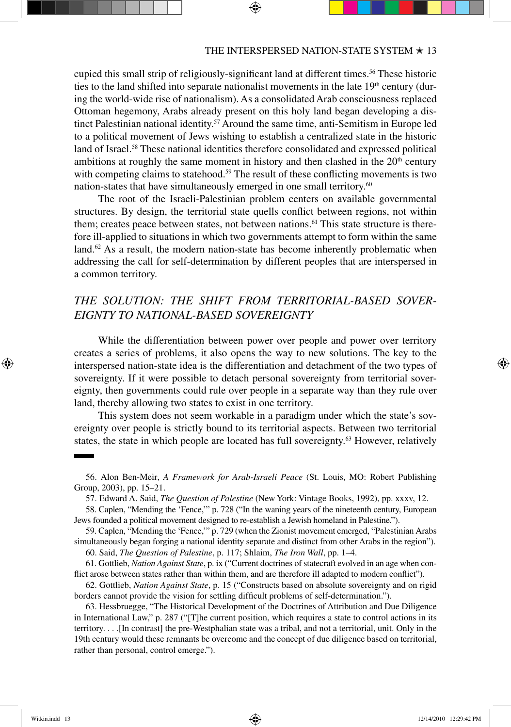cupied this small strip of religiously-significant land at different times.<sup>56</sup> These historic ties to the land shifted into separate nationalist movements in the late  $19<sup>th</sup>$  century (during the world-wide rise of nationalism). As a consolidated Arab consciousness replaced Ottoman hegemony, Arabs already present on this holy land began developing a distinct Palestinian national identity.<sup>57</sup> Around the same time, anti-Semitism in Europe led to a political movement of Jews wishing to establish a centralized state in the historic land of Israel.<sup>58</sup> These national identities therefore consolidated and expressed political ambitions at roughly the same moment in history and then clashed in the  $20<sup>th</sup>$  century with competing claims to statehood.<sup>59</sup> The result of these conflicting movements is two nation-states that have simultaneously emerged in one small territory.<sup>60</sup>

The root of the Israeli-Palestinian problem centers on available governmental structures. By design, the territorial state quells conflict between regions, not within them; creates peace between states, not between nations.<sup>61</sup> This state structure is therefore ill-applied to situations in which two governments attempt to form within the same land.<sup>62</sup> As a result, the modern nation-state has become inherently problematic when addressing the call for self-determination by different peoples that are interspersed in a common territory.

# *The Solution: The Shift from Territorial-Based Sovereignty to National-Based Sovereignty*

While the differentiation between power over people and power over territory creates a series of problems, it also opens the way to new solutions. The key to the interspersed nation-state idea is the differentiation and detachment of the two types of sovereignty. If it were possible to detach personal sovereignty from territorial sovereignty, then governments could rule over people in a separate way than they rule over land, thereby allowing two states to exist in one territory.

This system does not seem workable in a paradigm under which the state's sovereignty over people is strictly bound to its territorial aspects. Between two territorial states, the state in which people are located has full sovereignty.<sup>63</sup> However, relatively

58. Caplen, "Mending the 'Fence,'" p. 728 ("In the waning years of the nineteenth century, European Jews founded a political movement designed to re-establish a Jewish homeland in Palestine.").

59. Caplen, "Mending the 'Fence,'" p. 729 (when the Zionist movement emerged, "Palestinian Arabs simultaneously began forging a national identity separate and distinct from other Arabs in the region"). 60. Said, *The Question of Palestine*, p. 117; Shlaim, *The Iron Wall*, pp. 1–4.

61. Gottlieb, *Nation Against State*, p. ix ("Current doctrines of statecraft evolved in an age when conflict arose between states rather than within them, and are therefore ill adapted to modern conflict").

62. Gottlieb, *Nation Against State*, p. 15 ("Constructs based on absolute sovereignty and on rigid borders cannot provide the vision for settling difficult problems of self-determination.").

63. Hessbruegge, "The Historical Development of the Doctrines of Attribution and Due Diligence in International Law," p. 287 ("[T]he current position, which requires a state to control actions in its territory. . . .[In contrast] the pre-Westphalian state was a tribal, and not a territorial, unit. Only in the 19th century would these remnants be overcome and the concept of due diligence based on territorial, rather than personal, control emerge.").

↔

<sup>56.</sup> Alon Ben-Meir, *A Framework for Arab-Israeli Peace* (St. Louis, MO: Robert Publishing Group, 2003), pp. 15–21.

<sup>57.</sup> Edward A. Said, *The Question of Palestine* (New York: Vintage Books, 1992), pp. xxxv, 12.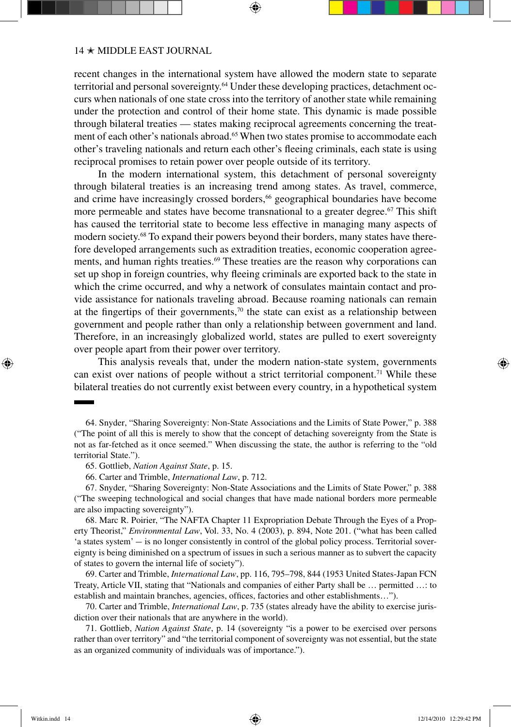recent changes in the international system have allowed the modern state to separate territorial and personal sovereignty.<sup>64</sup> Under these developing practices, detachment occurs when nationals of one state cross into the territory of another state while remaining under the protection and control of their home state. This dynamic is made possible through bilateral treaties — states making reciprocal agreements concerning the treatment of each other's nationals abroad.<sup>65</sup> When two states promise to accommodate each other's traveling nationals and return each other's fleeing criminals, each state is using reciprocal promises to retain power over people outside of its territory.

In the modern international system, this detachment of personal sovereignty through bilateral treaties is an increasing trend among states. As travel, commerce, and crime have increasingly crossed borders,<sup>66</sup> geographical boundaries have become more permeable and states have become transnational to a greater degree.<sup>67</sup> This shift has caused the territorial state to become less effective in managing many aspects of modern society.68 To expand their powers beyond their borders, many states have therefore developed arrangements such as extradition treaties, economic cooperation agreements, and human rights treaties.<sup>69</sup> These treaties are the reason why corporations can set up shop in foreign countries, why fleeing criminals are exported back to the state in which the crime occurred, and why a network of consulates maintain contact and provide assistance for nationals traveling abroad. Because roaming nationals can remain at the fingertips of their governments, $70$  the state can exist as a relationship between government and people rather than only a relationship between government and land. Therefore, in an increasingly globalized world, states are pulled to exert sovereignty over people apart from their power over territory.

This analysis reveals that, under the modern nation-state system, governments can exist over nations of people without a strict territorial component.<sup>71</sup> While these bilateral treaties do not currently exist between every country, in a hypothetical system

67. Snyder, "Sharing Sovereignty: Non-State Associations and the Limits of State Power," p. 388 ("The sweeping technological and social changes that have made national borders more permeable are also impacting sovereignty").

68. Marc R. Poirier, "The NAFTA Chapter 11 Expropriation Debate Through the Eyes of a Property Theorist," *Environmental Law*, Vol. 33, No. 4 (2003), p. 894, Note 201. ("what has been called 'a states system' - is no longer consistently in control of the global policy process. Territorial sovereignty is being diminished on a spectrum of issues in such a serious manner as to subvert the capacity of states to govern the internal life of society").

69. Carter and Trimble, *International Law*, pp. 116, 795–798, 844 (1953 United States-Japan FCN Treaty, Article VII, stating that "Nationals and companies of either Party shall be … permitted …: to establish and maintain branches, agencies, offices, factories and other establishments…").

70. Carter and Trimble, *International Law*, p. 735 (states already have the ability to exercise jurisdiction over their nationals that are anywhere in the world).

71. Gottlieb, *Nation Against State*, p. 14 (sovereignty "is a power to be exercised over persons rather than over territory" and "the territorial component of sovereignty was not essential, but the state as an organized community of individuals was of importance.").

↔

<sup>64.</sup> Snyder, "Sharing Sovereignty: Non-State Associations and the Limits of State Power," p. 388 ("The point of all this is merely to show that the concept of detaching sovereignty from the State is not as far-fetched as it once seemed." When discussing the state, the author is referring to the "old territorial State.").

<sup>65.</sup> Gottlieb, *Nation Against State*, p. 15.

<sup>66.</sup> Carter and Trimble, *International Law*, p. 712.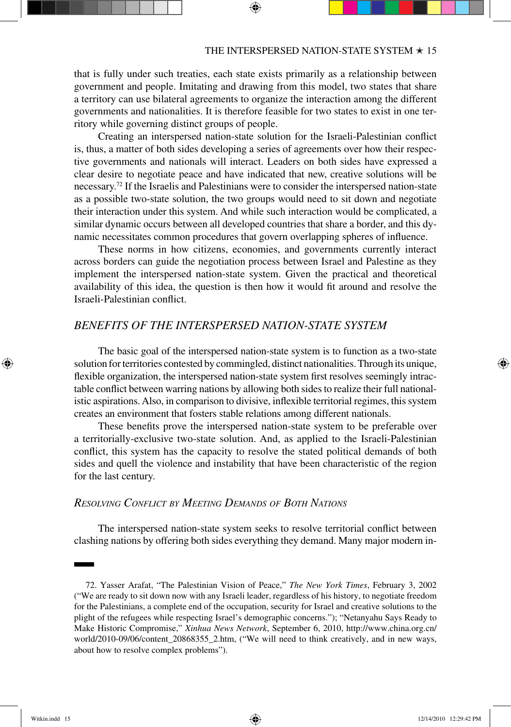that is fully under such treaties, each state exists primarily as a relationship between government and people. Imitating and drawing from this model, two states that share a territory can use bilateral agreements to organize the interaction among the different governments and nationalities. It is therefore feasible for two states to exist in one territory while governing distinct groups of people.

Creating an interspersed nation-state solution for the Israeli-Palestinian conflict is, thus, a matter of both sides developing a series of agreements over how their respective governments and nationals will interact. Leaders on both sides have expressed a clear desire to negotiate peace and have indicated that new, creative solutions will be necessary.72 If the Israelis and Palestinians were to consider the interspersed nation-state as a possible two-state solution, the two groups would need to sit down and negotiate their interaction under this system. And while such interaction would be complicated, a similar dynamic occurs between all developed countries that share a border, and this dynamic necessitates common procedures that govern overlapping spheres of influence.

These norms in how citizens, economies, and governments currently interact across borders can guide the negotiation process between Israel and Palestine as they implement the interspersed nation-state system. Given the practical and theoretical availability of this idea, the question is then how it would fit around and resolve the Israeli-Palestinian conflict.

# *Benefits of the Interspersed Nation-State System*

The basic goal of the interspersed nation-state system is to function as a two-state solution for territories contested by commingled, distinct nationalities. Through its unique, flexible organization, the interspersed nation-state system first resolves seemingly intractable conflict between warring nations by allowing both sides to realize their full nationalistic aspirations. Also, in comparison to divisive, inflexible territorial regimes, this system creates an environment that fosters stable relations among different nationals.

These benefits prove the interspersed nation-state system to be preferable over a territorially-exclusive two-state solution. And, as applied to the Israeli-Palestinian conflict, this system has the capacity to resolve the stated political demands of both sides and quell the violence and instability that have been characteristic of the region for the last century.

# *Resolving Conflict by Meeting Demands of Both Nations*

The interspersed nation-state system seeks to resolve territorial conflict between clashing nations by offering both sides everything they demand. Many major modern in-

↔

<sup>72.</sup> Yasser Arafat, "The Palestinian Vision of Peace," *The New York Times*, February 3, 2002 ("We are ready to sit down now with any Israeli leader, regardless of his history, to negotiate freedom for the Palestinians, a complete end of the occupation, security for Israel and creative solutions to the plight of the refugees while respecting Israel's demographic concerns."); "Netanyahu Says Ready to Make Historic Compromise," *Xinhua News Network*, September 6, 2010, http://www.china.org.cn/ world/2010-09/06/content\_20868355\_2.htm, ("We will need to think creatively, and in new ways, about how to resolve complex problems").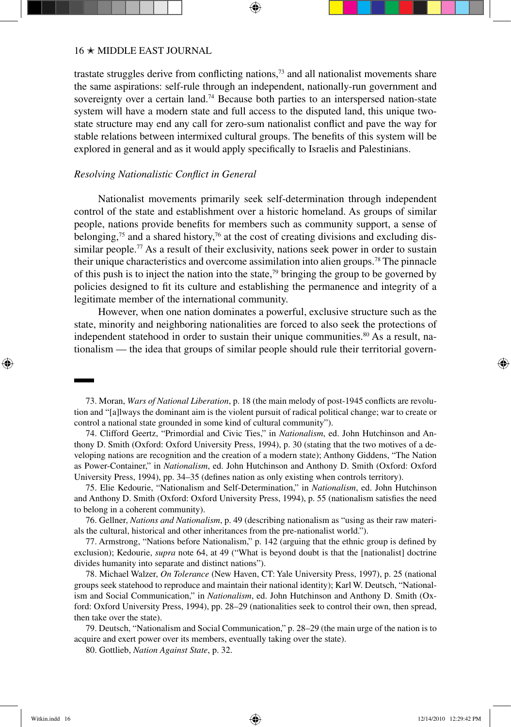trastate struggles derive from conflicting nations,73 and all nationalist movements share the same aspirations: self-rule through an independent, nationally-run government and sovereignty over a certain land.<sup>74</sup> Because both parties to an interspersed nation-state system will have a modern state and full access to the disputed land, this unique twostate structure may end any call for zero-sum nationalist conflict and pave the way for stable relations between intermixed cultural groups. The benefits of this system will be explored in general and as it would apply specifically to Israelis and Palestinians.

# *Resolving Nationalistic Conflict in General*

Nationalist movements primarily seek self-determination through independent control of the state and establishment over a historic homeland. As groups of similar people, nations provide benefits for members such as community support, a sense of belonging,<sup>75</sup> and a shared history,<sup>76</sup> at the cost of creating divisions and excluding dissimilar people.<sup>77</sup> As a result of their exclusivity, nations seek power in order to sustain their unique characteristics and overcome assimilation into alien groups.78 The pinnacle of this push is to inject the nation into the state,<sup>79</sup> bringing the group to be governed by policies designed to fit its culture and establishing the permanence and integrity of a legitimate member of the international community.

However, when one nation dominates a powerful, exclusive structure such as the state, minority and neighboring nationalities are forced to also seek the protections of independent statehood in order to sustain their unique communities.<sup>80</sup> As a result, nationalism — the idea that groups of similar people should rule their territorial govern-

73. Moran, *Wars of National Liberation*, p. 18 (the main melody of post-1945 conflicts are revolution and "[a]lways the dominant aim is the violent pursuit of radical political change; war to create or control a national state grounded in some kind of cultural community").

74. Clifford Geertz, "Primordial and Civic Ties," in *Nationalism*, ed. John Hutchinson and Anthony D. Smith (Oxford: Oxford University Press, 1994), p. 30 (stating that the two motives of a developing nations are recognition and the creation of a modern state); Anthony Giddens, "The Nation as Power-Container," in *Nationalism*, ed. John Hutchinson and Anthony D. Smith (Oxford: Oxford University Press, 1994), pp. 34–35 (defines nation as only existing when controls territory).

75. Elie Kedourie, "Nationalism and Self-Determination," in *Nationalism*, ed. John Hutchinson and Anthony D. Smith (Oxford: Oxford University Press, 1994), p. 55 (nationalism satisfies the need to belong in a coherent community).

76. Gellner, *Nations and Nationalism*, p. 49 (describing nationalism as "using as their raw materials the cultural, historical and other inheritances from the pre-nationalist world.").

77. Armstrong, "Nations before Nationalism," p. 142 (arguing that the ethnic group is defined by exclusion); Kedourie, *supra* note 64, at 49 ("What is beyond doubt is that the [nationalist] doctrine divides humanity into separate and distinct nations").

78. Michael Walzer, *On Tolerance* (New Haven, CT: Yale University Press, 1997), p. 25 (national groups seek statehood to reproduce and maintain their national identity); Karl W. Deutsch, "Nationalism and Social Communication," in *Nationalism*, ed. John Hutchinson and Anthony D. Smith (Oxford: Oxford University Press, 1994), pp. 28–29 (nationalities seek to control their own, then spread, then take over the state).

79. Deutsch, "Nationalism and Social Communication," p. 28–29 (the main urge of the nation is to acquire and exert power over its members, eventually taking over the state).

80. Gottlieb, *Nation Against State*, p. 32.

⊕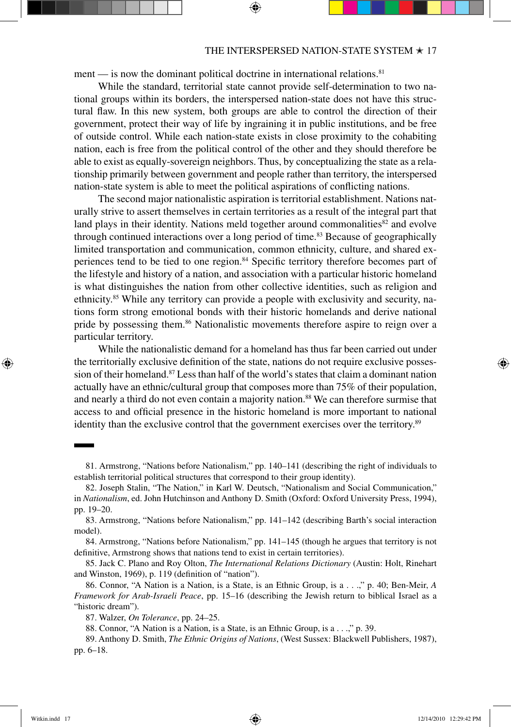ment — is now the dominant political doctrine in international relations.<sup>81</sup>

While the standard, territorial state cannot provide self-determination to two national groups within its borders, the interspersed nation-state does not have this structural flaw. In this new system, both groups are able to control the direction of their government, protect their way of life by ingraining it in public institutions, and be free of outside control. While each nation-state exists in close proximity to the cohabiting nation, each is free from the political control of the other and they should therefore be able to exist as equally-sovereign neighbors. Thus, by conceptualizing the state as a relationship primarily between government and people rather than territory, the interspersed nation-state system is able to meet the political aspirations of conflicting nations.

The second major nationalistic aspiration is territorial establishment. Nations naturally strive to assert themselves in certain territories as a result of the integral part that land plays in their identity. Nations meld together around commonalities $82$  and evolve through continued interactions over a long period of time.<sup>83</sup> Because of geographically limited transportation and communication, common ethnicity, culture, and shared experiences tend to be tied to one region.<sup>84</sup> Specific territory therefore becomes part of the lifestyle and history of a nation, and association with a particular historic homeland is what distinguishes the nation from other collective identities, such as religion and ethnicity.85 While any territory can provide a people with exclusivity and security, nations form strong emotional bonds with their historic homelands and derive national pride by possessing them.<sup>86</sup> Nationalistic movements therefore aspire to reign over a particular territory.

While the nationalistic demand for a homeland has thus far been carried out under the territorially exclusive definition of the state, nations do not require exclusive possession of their homeland.<sup>87</sup> Less than half of the world's states that claim a dominant nation actually have an ethnic/cultural group that composes more than 75% of their population, and nearly a third do not even contain a majority nation.<sup>88</sup> We can therefore surmise that access to and official presence in the historic homeland is more important to national identity than the exclusive control that the government exercises over the territory.<sup>89</sup>

85. Jack C. Plano and Roy Olton, *The International Relations Dictionary* (Austin: Holt, Rinehart and Winston, 1969), p. 119 (definition of "nation").

86. Connor, "A Nation is a Nation, is a State, is an Ethnic Group, is a . . .," p. 40; Ben-Meir, *A Framework for Arab-Israeli Peace*, pp. 15–16 (describing the Jewish return to biblical Israel as a "historic dream").

88. Connor, "A Nation is a Nation, is a State, is an Ethnic Group, is a . . .," p. 39.

↔

<sup>81.</sup> Armstrong, "Nations before Nationalism," pp. 140–141 (describing the right of individuals to establish territorial political structures that correspond to their group identity).

<sup>82.</sup> Joseph Stalin, "The Nation," in Karl W. Deutsch, "Nationalism and Social Communication," in *Nationalism*, ed. John Hutchinson and Anthony D. Smith (Oxford: Oxford University Press, 1994), pp. 19–20.

<sup>83.</sup> Armstrong, "Nations before Nationalism," pp. 141–142 (describing Barth's social interaction model).

<sup>84.</sup> Armstrong, "Nations before Nationalism," pp. 141–145 (though he argues that territory is not definitive, Armstrong shows that nations tend to exist in certain territories).

<sup>87.</sup> Walzer, *On Tolerance*, pp. 24–25.

<sup>89.</sup> Anthony D. Smith, *The Ethnic Origins of Nations*, (West Sussex: Blackwell Publishers, 1987), pp. 6–18.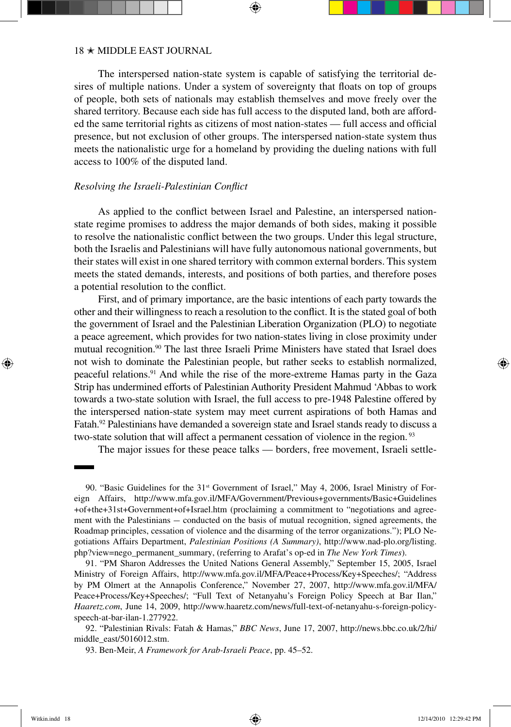The interspersed nation-state system is capable of satisfying the territorial desires of multiple nations. Under a system of sovereignty that floats on top of groups of people, both sets of nationals may establish themselves and move freely over the shared territory. Because each side has full access to the disputed land, both are afforded the same territorial rights as citizens of most nation-states — full access and official presence, but not exclusion of other groups. The interspersed nation-state system thus meets the nationalistic urge for a homeland by providing the dueling nations with full access to 100% of the disputed land.

## *Resolving the Israeli-Palestinian Conflict*

As applied to the conflict between Israel and Palestine, an interspersed nationstate regime promises to address the major demands of both sides, making it possible to resolve the nationalistic conflict between the two groups. Under this legal structure, both the Israelis and Palestinians will have fully autonomous national governments, but their states will exist in one shared territory with common external borders. This system meets the stated demands, interests, and positions of both parties, and therefore poses a potential resolution to the conflict.

First, and of primary importance, are the basic intentions of each party towards the other and their willingness to reach a resolution to the conflict. It is the stated goal of both the government of Israel and the Palestinian Liberation Organization (PLO) to negotiate a peace agreement, which provides for two nation-states living in close proximity under mutual recognition.<sup>90</sup> The last three Israeli Prime Ministers have stated that Israel does not wish to dominate the Palestinian people, but rather seeks to establish normalized, peaceful relations.91 And while the rise of the more-extreme Hamas party in the Gaza Strip has undermined efforts of Palestinian Authority President Mahmud 'Abbas to work towards a two-state solution with Israel, the full access to pre-1948 Palestine offered by the interspersed nation-state system may meet current aspirations of both Hamas and Fatah.<sup>92</sup> Palestinians have demanded a sovereign state and Israel stands ready to discuss a two-state solution that will affect a permanent cessation of violence in the region.<sup>93</sup>

The major issues for these peace talks — borders, free movement, Israeli settle-

↔

<sup>90. &</sup>quot;Basic Guidelines for the 31<sup>st</sup> Government of Israel," May 4, 2006, Israel Ministry of Foreign Affairs, http://www.mfa.gov.il/MFA/Government/Previous+governments/Basic+Guidelines +of+the+31st+Government+of+Israel.htm (proclaiming a commitment to "negotiations and agreement with the Palestinians — conducted on the basis of mutual recognition, signed agreements, the Roadmap principles, cessation of violence and the disarming of the terror organizations."); PLO Negotiations Affairs Department, *Palestinian Positions (A Summary)*, http://www.nad-plo.org/listing. php?view=nego\_permanent\_summary, (referring to Arafat's op-ed in *The New York Times*).

<sup>91. &</sup>quot;PM Sharon Addresses the United Nations General Assembly," September 15, 2005, Israel Ministry of Foreign Affairs, http://www.mfa.gov.il/MFA/Peace+Process/Key+Speeches/; "Address by PM Olmert at the Annapolis Conference," November 27, 2007, http://www.mfa.gov.il/MFA/ Peace+Process/Key+Speeches/; "Full Text of Netanyahu's Foreign Policy Speech at Bar Ilan," *Haaretz.com*, June 14, 2009, http://www.haaretz.com/news/full-text-of-netanyahu-s-foreign-policyspeech-at-bar-ilan-1.277922.

<sup>92. &</sup>quot;Palestinian Rivals: Fatah & Hamas," *BBC News*, June 17, 2007, http://news.bbc.co.uk/2/hi/ middle\_east/5016012.stm.

<sup>93.</sup> Ben-Meir, *A Framework for Arab-Israeli Peace*, pp. 45–52.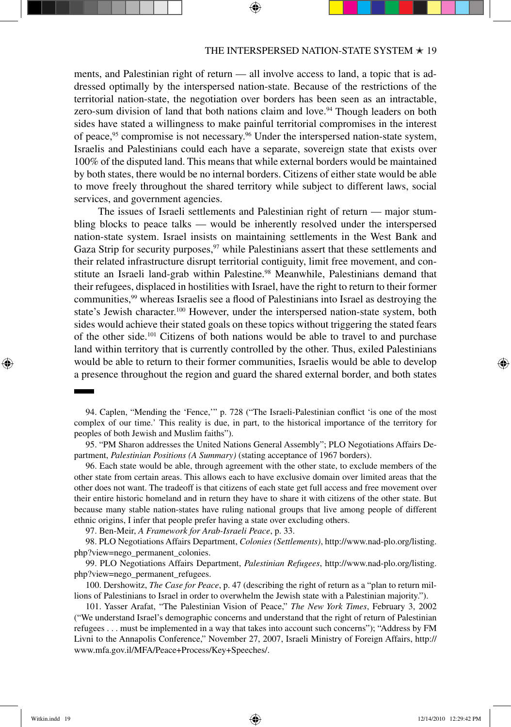ments, and Palestinian right of return — all involve access to land, a topic that is addressed optimally by the interspersed nation-state. Because of the restrictions of the territorial nation-state, the negotiation over borders has been seen as an intractable, zero-sum division of land that both nations claim and love.<sup>94</sup> Though leaders on both sides have stated a willingness to make painful territorial compromises in the interest of peace,<sup>95</sup> compromise is not necessary.<sup>96</sup> Under the interspersed nation-state system, Israelis and Palestinians could each have a separate, sovereign state that exists over 100% of the disputed land. This means that while external borders would be maintained by both states, there would be no internal borders. Citizens of either state would be able to move freely throughout the shared territory while subject to different laws, social services, and government agencies.

The issues of Israeli settlements and Palestinian right of return — major stumbling blocks to peace talks — would be inherently resolved under the interspersed nation-state system. Israel insists on maintaining settlements in the West Bank and Gaza Strip for security purposes,  $97$  while Palestinians assert that these settlements and their related infrastructure disrupt territorial contiguity, limit free movement, and constitute an Israeli land-grab within Palestine.98 Meanwhile, Palestinians demand that their refugees, displaced in hostilities with Israel, have the right to return to their former communities,99 whereas Israelis see a flood of Palestinians into Israel as destroying the state's Jewish character.<sup>100</sup> However, under the interspersed nation-state system, both sides would achieve their stated goals on these topics without triggering the stated fears of the other side.101 Citizens of both nations would be able to travel to and purchase land within territory that is currently controlled by the other. Thus, exiled Palestinians would be able to return to their former communities, Israelis would be able to develop a presence throughout the region and guard the shared external border, and both states

94. Caplen, "Mending the 'Fence,'" p. 728 ("The Israeli-Palestinian conflict 'is one of the most complex of our time.' This reality is due, in part, to the historical importance of the territory for peoples of both Jewish and Muslim faiths").

95. "PM Sharon addresses the United Nations General Assembly"; PLO Negotiations Affairs Department, *Palestinian Positions (A Summary)* (stating acceptance of 1967 borders).

96. Each state would be able, through agreement with the other state, to exclude members of the other state from certain areas. This allows each to have exclusive domain over limited areas that the other does not want. The tradeoff is that citizens of each state get full access and free movement over their entire historic homeland and in return they have to share it with citizens of the other state. But because many stable nation-states have ruling national groups that live among people of different ethnic origins, I infer that people prefer having a state over excluding others.

97. Ben-Meir, *A Framework for Arab-Israeli Peace*, p. 33.

98. PLO Negotiations Affairs Department, *Colonies (Settlements)*, http://www.nad-plo.org/listing. php?view=nego\_permanent\_colonies.

99. PLO Negotiations Affairs Department, *Palestinian Refugees*, http://www.nad-plo.org/listing. php?view=nego\_permanent\_refugees.

100. Dershowitz, *The Case for Peace*, p. 47 (describing the right of return as a "plan to return millions of Palestinians to Israel in order to overwhelm the Jewish state with a Palestinian majority.").

101. Yasser Arafat, "The Palestinian Vision of Peace," *The New York Times*, February 3, 2002 ("We understand Israel's demographic concerns and understand that the right of return of Palestinian refugees . . . must be implemented in a way that takes into account such concerns"); "Address by FM Livni to the Annapolis Conference," November 27, 2007, Israeli Ministry of Foreign Affairs, http:// www.mfa.gov.il/MFA/Peace+Process/Key+Speeches/.

↔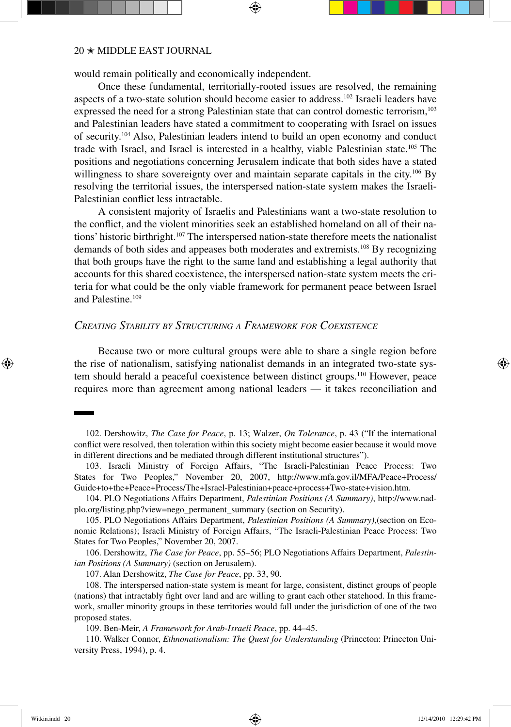would remain politically and economically independent.

Once these fundamental, territorially-rooted issues are resolved, the remaining aspects of a two-state solution should become easier to address.102 Israeli leaders have expressed the need for a strong Palestinian state that can control domestic terrorism,<sup>103</sup> and Palestinian leaders have stated a commitment to cooperating with Israel on issues of security.104 Also, Palestinian leaders intend to build an open economy and conduct trade with Israel, and Israel is interested in a healthy, viable Palestinian state.105 The positions and negotiations concerning Jerusalem indicate that both sides have a stated willingness to share sovereignty over and maintain separate capitals in the city.<sup>106</sup> By resolving the territorial issues, the interspersed nation-state system makes the Israeli-Palestinian conflict less intractable.

A consistent majority of Israelis and Palestinians want a two-state resolution to the conflict, and the violent minorities seek an established homeland on all of their nations' historic birthright.107 The interspersed nation-state therefore meets the nationalist demands of both sides and appeases both moderates and extremists.108 By recognizing that both groups have the right to the same land and establishing a legal authority that accounts for this shared coexistence, the interspersed nation-state system meets the criteria for what could be the only viable framework for permanent peace between Israel and Palestine.109

# *Creating Stability by Structuring a Framework for Coexistence*

Because two or more cultural groups were able to share a single region before the rise of nationalism, satisfying nationalist demands in an integrated two-state system should herald a peaceful coexistence between distinct groups.110 However, peace requires more than agreement among national leaders — it takes reconciliation and

102. Dershowitz, *The Case for Peace*, p. 13; Walzer, *On Tolerance*, p. 43 ("If the international conflict were resolved, then toleration within this society might become easier because it would move in different directions and be mediated through different institutional structures").

103. Israeli Ministry of Foreign Affairs, "The Israeli-Palestinian Peace Process: Two States for Two Peoples," November 20, 2007, http://www.mfa.gov.il/MFA/Peace+Process/ Guide+to+the+Peace+Process/The+Israel-Palestinian+peace+process+Two-state+vision.htm.

104. PLO Negotiations Affairs Department, *Palestinian Positions (A Summary)*, http://www.nadplo.org/listing.php?view=nego\_permanent\_summary (section on Security).

105. PLO Negotiations Affairs Department, *Palestinian Positions (A Summary)*,(section on Economic Relations); Israeli Ministry of Foreign Affairs, "The Israeli-Palestinian Peace Process: Two States for Two Peoples," November 20, 2007.

106. Dershowitz, *The Case for Peace*, pp. 55–56; PLO Negotiations Affairs Department, *Palestinian Positions (A Summary)* (section on Jerusalem).

107. Alan Dershowitz, *The Case for Peace*, pp. 33, 90.

108. The interspersed nation-state system is meant for large, consistent, distinct groups of people (nations) that intractably fight over land and are willing to grant each other statehood. In this framework, smaller minority groups in these territories would fall under the jurisdiction of one of the two proposed states.

109. Ben-Meir, *A Framework for Arab-Israeli Peace*, pp. 44–45.

110. Walker Connor, *Ethnonationalism: The Quest for Understanding* (Princeton: Princeton University Press, 1994), p. 4.

↔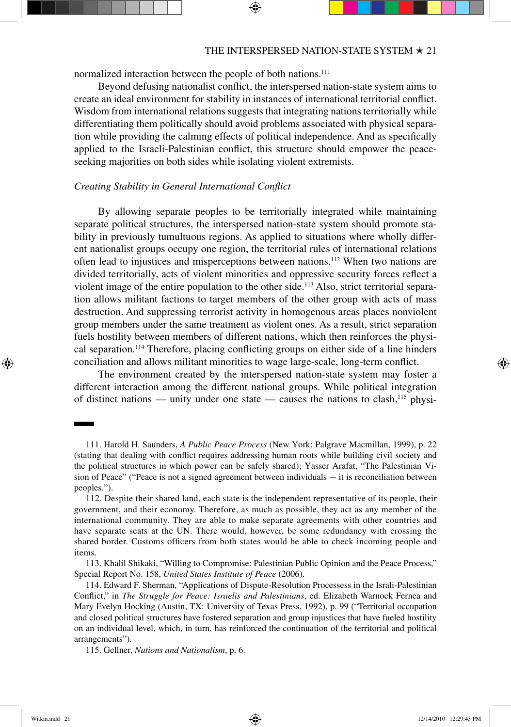normalized interaction between the people of both nations.<sup>111</sup>

Beyond defusing nationalist conflict, the interspersed nation-state system aims to create an ideal environment for stability in instances of international territorial conflict. Wisdom from international relations suggests that integrating nations territorially while differentiating them politically should avoid problems associated with physical separation while providing the calming effects of political independence. And as specifically applied to the Israeli-Palestinian conflict, this structure should empower the peaceseeking majorities on both sides while isolating violent extremists.

# *Creating Stability in General International Conflict*

By allowing separate peoples to be territorially integrated while maintaining separate political structures, the interspersed nation-state system should promote stability in previously tumultuous regions. As applied to situations where wholly different nationalist groups occupy one region, the territorial rules of international relations often lead to injustices and misperceptions between nations.112 When two nations are divided territorially, acts of violent minorities and oppressive security forces reflect a violent image of the entire population to the other side.<sup>113</sup> Also, strict territorial separation allows militant factions to target members of the other group with acts of mass destruction. And suppressing terrorist activity in homogenous areas places nonviolent group members under the same treatment as violent ones. As a result, strict separation fuels hostility between members of different nations, which then reinforces the physical separation.114 Therefore, placing conflicting groups on either side of a line hinders conciliation and allows militant minorities to wage large-scale, long-term conflict.

The environment created by the interspersed nation-state system may foster a different interaction among the different national groups. While political integration of distinct nations — unity under one state — causes the nations to clash,<sup>115</sup> physi-

113. Khalil Shikaki, "Willing to Compromise: Palestinian Public Opinion and the Peace Process," Special Report No. 158, *United States Institute of Peace* (2006).

114. Edward F. Sherman, "Applications of Dispute-Resolution Processess in the Israli-Palestinian Conflict," in *The Struggle for Peace: Israelis and Palestinians*, ed. Elizabeth Warnock Fernea and Mary Evelyn Hocking (Austin, TX: University of Texas Press, 1992), p. 99 ("Territorial occupation and closed political structures have fostered separation and group injustices that have fueled hostility on an individual level, which, in turn, has reinforced the continuation of the territorial and political arrangements").

↔

<sup>111.</sup> Harold H. Saunders, *A Public Peace Process* (New York: Palgrave Macmillan, 1999), p. 22 (stating that dealing with conflict requires addressing human roots while building civil society and the political structures in which power can be safely shared); Yasser Arafat, "The Palestinian Vision of Peace" ("Peace is not a signed agreement between individuals - it is reconciliation between peoples.").

<sup>112.</sup> Despite their shared land, each state is the independent representative of its people, their government, and their economy. Therefore, as much as possible, they act as any member of the international community. They are able to make separate agreements with other countries and have separate seats at the UN. There would, however, be some redundancy with crossing the shared border. Customs officers from both states would be able to check incoming people and items.

<sup>115.</sup> Gellner, *Nations and Nationalism*, p. 6.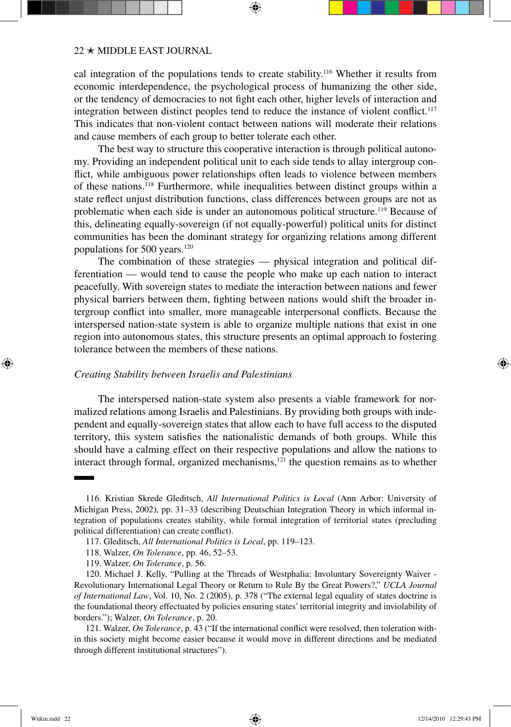cal integration of the populations tends to create stability.116 Whether it results from economic interdependence, the psychological process of humanizing the other side, or the tendency of democracies to not fight each other, higher levels of interaction and integration between distinct peoples tend to reduce the instance of violent conflict.<sup>117</sup> This indicates that non-violent contact between nations will moderate their relations and cause members of each group to better tolerate each other.

The best way to structure this cooperative interaction is through political autonomy. Providing an independent political unit to each side tends to allay intergroup conflict, while ambiguous power relationships often leads to violence between members of these nations.118 Furthermore, while inequalities between distinct groups within a state reflect unjust distribution functions, class differences between groups are not as problematic when each side is under an autonomous political structure.119 Because of this, delineating equally-sovereign (if not equally-powerful) political units for distinct communities has been the dominant strategy for organizing relations among different populations for 500 years.120

The combination of these strategies — physical integration and political differentiation — would tend to cause the people who make up each nation to interact peacefully. With sovereign states to mediate the interaction between nations and fewer physical barriers between them, fighting between nations would shift the broader intergroup conflict into smaller, more manageable interpersonal conflicts. Because the interspersed nation-state system is able to organize multiple nations that exist in one region into autonomous states, this structure presents an optimal approach to fostering tolerance between the members of these nations.

## *Creating Stability between Israelis and Palestinians*

The interspersed nation-state system also presents a viable framework for normalized relations among Israelis and Palestinians. By providing both groups with independent and equally-sovereign states that allow each to have full access to the disputed territory, this system satisfies the nationalistic demands of both groups. While this should have a calming effect on their respective populations and allow the nations to interact through formal, organized mechanisms,<sup>121</sup> the question remains as to whether

↔

<sup>116.</sup> Kristian Skrede Gleditsch, *All International Politics is Local* (Ann Arbor: University of Michigan Press, 2002), pp. 31–33 (describing Deutschian Integration Theory in which informal integration of populations creates stability, while formal integration of territorial states (precluding political differentiation) can create conflict).

<sup>117.</sup> Gleditsch, *All International Politics is Local*, pp. 119–123.

<sup>118.</sup> Walzer, *On Tolerance*, pp. 46, 52–53.

<sup>119.</sup> Walzer, *On Tolerance*, p. 56.

<sup>120.</sup> Michael J. Kelly, "Pulling at the Threads of Westphalia: Involuntary Sovereignty Waiver - Revolutionary International Legal Theory or Return to Rule By the Great Powers?," *UCLA Journal of International Law*, Vol. 10, No. 2 (2005), p. 378 ("The external legal equality of states doctrine is the foundational theory effectuated by policies ensuring states' territorial integrity and inviolability of borders."); Walzer, *On Tolerance*, p. 20.

<sup>121.</sup> Walzer, *On Tolerance*, p. 43 ("If the international conflict were resolved, then toleration within this society might become easier because it would move in different directions and be mediated through different institutional structures").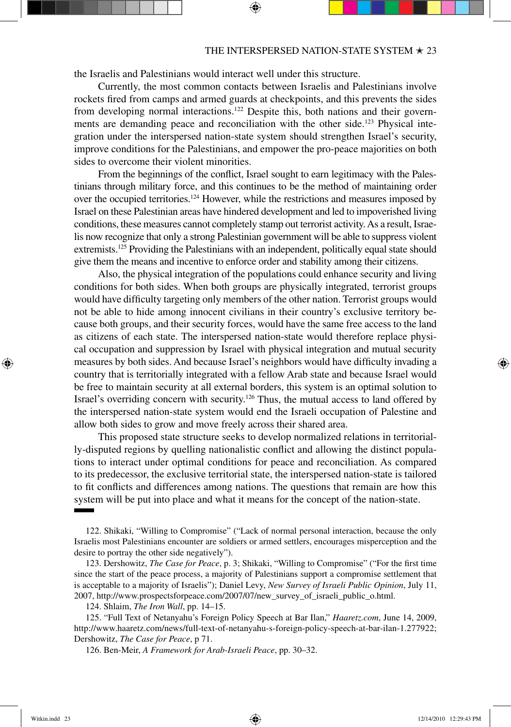the Israelis and Palestinians would interact well under this structure.

Currently, the most common contacts between Israelis and Palestinians involve rockets fired from camps and armed guards at checkpoints, and this prevents the sides from developing normal interactions.122 Despite this, both nations and their governments are demanding peace and reconciliation with the other side.123 Physical integration under the interspersed nation-state system should strengthen Israel's security, improve conditions for the Palestinians, and empower the pro-peace majorities on both sides to overcome their violent minorities.

From the beginnings of the conflict, Israel sought to earn legitimacy with the Palestinians through military force, and this continues to be the method of maintaining order over the occupied territories.124 However, while the restrictions and measures imposed by Israel on these Palestinian areas have hindered development and led to impoverished living conditions, these measures cannot completely stamp out terrorist activity. As a result, Israelis now recognize that only a strong Palestinian government will be able to suppress violent extremists.<sup>125</sup> Providing the Palestinians with an independent, politically equal state should give them the means and incentive to enforce order and stability among their citizens.

Also, the physical integration of the populations could enhance security and living conditions for both sides. When both groups are physically integrated, terrorist groups would have difficulty targeting only members of the other nation. Terrorist groups would not be able to hide among innocent civilians in their country's exclusive territory because both groups, and their security forces, would have the same free access to the land as citizens of each state. The interspersed nation-state would therefore replace physical occupation and suppression by Israel with physical integration and mutual security measures by both sides. And because Israel's neighbors would have difficulty invading a country that is territorially integrated with a fellow Arab state and because Israel would be free to maintain security at all external borders, this system is an optimal solution to Israel's overriding concern with security.<sup>126</sup> Thus, the mutual access to land offered by the interspersed nation-state system would end the Israeli occupation of Palestine and allow both sides to grow and move freely across their shared area.

This proposed state structure seeks to develop normalized relations in territorially-disputed regions by quelling nationalistic conflict and allowing the distinct populations to interact under optimal conditions for peace and reconciliation. As compared to its predecessor, the exclusive territorial state, the interspersed nation-state is tailored to fit conflicts and differences among nations. The questions that remain are how this system will be put into place and what it means for the concept of the nation-state.

↔

<sup>122.</sup> Shikaki, "Willing to Compromise" ("Lack of normal personal interaction, because the only Israelis most Palestinians encounter are soldiers or armed settlers, encourages misperception and the desire to portray the other side negatively").

<sup>123.</sup> Dershowitz, *The Case for Peace*, p. 3; Shikaki, "Willing to Compromise" ("For the first time since the start of the peace process, a majority of Palestinians support a compromise settlement that is acceptable to a majority of Israelis"); Daniel Levy, *New Survey of Israeli Public Opinion*, July 11, 2007, http://www.prospectsforpeace.com/2007/07/new\_survey\_of\_israeli\_public\_o.html.

<sup>124.</sup> Shlaim, *The Iron Wall*, pp. 14–15.

<sup>125. &</sup>quot;Full Text of Netanyahu's Foreign Policy Speech at Bar Ilan," *Haaretz.com*, June 14, 2009, http://www.haaretz.com/news/full-text-of-netanyahu-s-foreign-policy-speech-at-bar-ilan-1.277922; Dershowitz, *The Case for Peace*, p 71.

<sup>126.</sup> Ben-Meir, *A Framework for Arab-Israeli Peace*, pp. 30–32.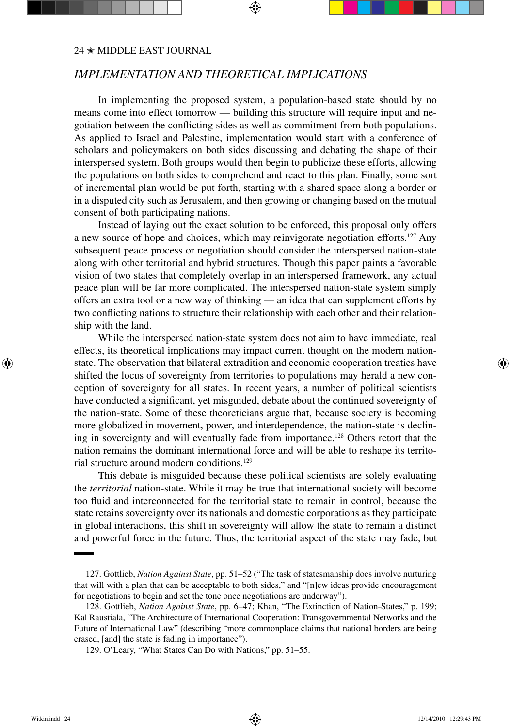# *Implementation and Theoretical Implications*

In implementing the proposed system, a population-based state should by no means come into effect tomorrow — building this structure will require input and negotiation between the conflicting sides as well as commitment from both populations. As applied to Israel and Palestine, implementation would start with a conference of scholars and policymakers on both sides discussing and debating the shape of their interspersed system. Both groups would then begin to publicize these efforts, allowing the populations on both sides to comprehend and react to this plan. Finally, some sort of incremental plan would be put forth, starting with a shared space along a border or in a disputed city such as Jerusalem, and then growing or changing based on the mutual consent of both participating nations.

Instead of laying out the exact solution to be enforced, this proposal only offers a new source of hope and choices, which may reinvigorate negotiation efforts.127 Any subsequent peace process or negotiation should consider the interspersed nation-state along with other territorial and hybrid structures. Though this paper paints a favorable vision of two states that completely overlap in an interspersed framework, any actual peace plan will be far more complicated. The interspersed nation-state system simply offers an extra tool or a new way of thinking — an idea that can supplement efforts by two conflicting nations to structure their relationship with each other and their relationship with the land.

While the interspersed nation-state system does not aim to have immediate, real effects, its theoretical implications may impact current thought on the modern nationstate. The observation that bilateral extradition and economic cooperation treaties have shifted the locus of sovereignty from territories to populations may herald a new conception of sovereignty for all states. In recent years, a number of political scientists have conducted a significant, yet misguided, debate about the continued sovereignty of the nation-state. Some of these theoreticians argue that, because society is becoming more globalized in movement, power, and interdependence, the nation-state is declining in sovereignty and will eventually fade from importance.<sup>128</sup> Others retort that the nation remains the dominant international force and will be able to reshape its territorial structure around modern conditions.129

This debate is misguided because these political scientists are solely evaluating the *territorial* nation-state. While it may be true that international society will become too fluid and interconnected for the territorial state to remain in control, because the state retains sovereignty over its nationals and domestic corporations as they participate in global interactions, this shift in sovereignty will allow the state to remain a distinct and powerful force in the future. Thus, the territorial aspect of the state may fade, but

↔

<sup>127.</sup> Gottlieb, *Nation Against State*, pp. 51–52 ("The task of statesmanship does involve nurturing that will with a plan that can be acceptable to both sides," and "[n]ew ideas provide encouragement for negotiations to begin and set the tone once negotiations are underway").

<sup>128.</sup> Gottlieb, *Nation Against State*, pp. 6–47; Khan, "The Extinction of Nation-States," p. 199; Kal Raustiala, "The Architecture of International Cooperation: Transgovernmental Networks and the Future of International Law" (describing "more commonplace claims that national borders are being erased, [and] the state is fading in importance").

<sup>129.</sup> O'Leary, "What States Can Do with Nations," pp. 51–55.